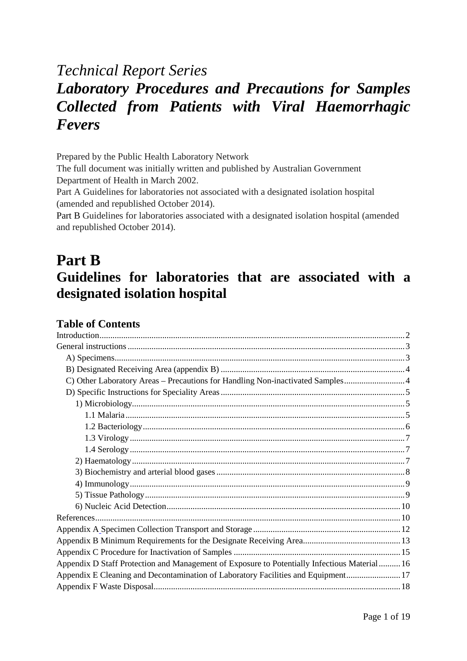# *Technical Report Series Laboratory Procedures and Precautions for Samples Collected from Patients with Viral Haemorrhagic Fevers*

Prepared by the Public Health Laboratory Network

The full document was initially written and published by Australian Government Department of Health in March 2002.

Part A Guidelines for laboratories not associated with a designated isolation hospital (amended and republished October 2014).

[Part B](http://www.health.gov.au/internet/main/publishing.nsf/Content/cda-pubs-other-vhf.htm) Guidelines for laboratories associated with a designated isolation hospital (amended and republished October 2014).

# **Part B Guidelines for laboratories that are associated with a designated isolation hospital**

# **Table of Contents**

| C) Other Laboratory Areas - Precautions for Handling Non-inactivated Samples 4               |  |
|----------------------------------------------------------------------------------------------|--|
|                                                                                              |  |
|                                                                                              |  |
|                                                                                              |  |
|                                                                                              |  |
|                                                                                              |  |
|                                                                                              |  |
|                                                                                              |  |
|                                                                                              |  |
|                                                                                              |  |
|                                                                                              |  |
|                                                                                              |  |
|                                                                                              |  |
|                                                                                              |  |
|                                                                                              |  |
|                                                                                              |  |
| Appendix D Staff Protection and Management of Exposure to Potentially Infectious Material 16 |  |
| Appendix E Cleaning and Decontamination of Laboratory Facilities and Equipment 17            |  |
|                                                                                              |  |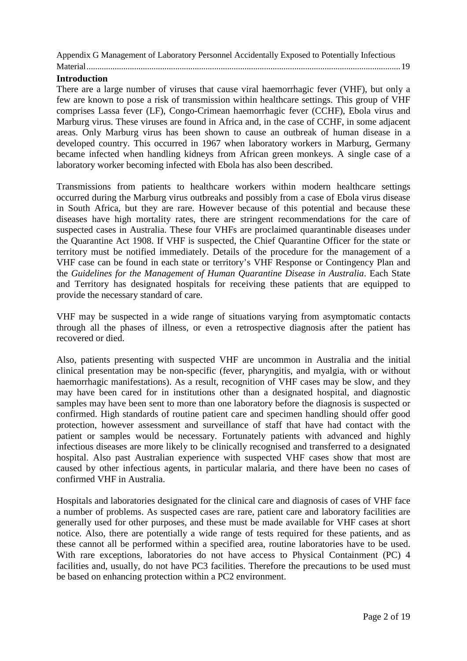[Appendix G Management of Laboratory Personnel Accidentally](#page-18-0) [Exposed to Potentially Infectious](#page-18-1) 

[Material.................................................................................................................................................19](#page-18-1)

# <span id="page-1-0"></span>**Introduction**

There are a large number of viruses that cause viral haemorrhagic fever (VHF), but only a few are known to pose a risk of transmission within healthcare settings. This group of VHF comprises Lassa fever (LF), Congo-Crimean haemorrhagic fever (CCHF), Ebola virus and Marburg virus. These viruses are found in Africa and, in the case of CCHF, in some adjacent areas. Only Marburg virus has been shown to cause an outbreak of human disease in a developed country. This occurred in 1967 when laboratory workers in Marburg, Germany became infected when handling kidneys from African green monkeys. A single case of a laboratory worker becoming infected with Ebola has also been described.

Transmissions from patients to healthcare workers within modern healthcare settings occurred during the Marburg virus outbreaks and possibly from a case of Ebola virus disease in South Africa, but they are rare. However because of this potential and because these diseases have high mortality rates, there are stringent recommendations for the care of suspected cases in Australia. These four VHFs are proclaimed quarantinable diseases under the Quarantine Act 1908. If VHF is suspected, the Chief Quarantine Officer for the state or territory must be notified immediately. Details of the procedure for the management of a VHF case can be found in each state or territory's VHF Response or Contingency Plan and the *Guidelines for the Management of Human Quarantine Disease in Australia*. Each State and Territory has designated hospitals for receiving these patients that are equipped to provide the necessary standard of care.

VHF may be suspected in a wide range of situations varying from asymptomatic contacts through all the phases of illness, or even a retrospective diagnosis after the patient has recovered or died.

Also, patients presenting with suspected VHF are uncommon in Australia and the initial clinical presentation may be non-specific (fever, pharyngitis, and myalgia, with or without haemorrhagic manifestations). As a result, recognition of VHF cases may be slow, and they may have been cared for in institutions other than a designated hospital, and diagnostic samples may have been sent to more than one laboratory before the diagnosis is suspected or confirmed. High standards of routine patient care and specimen handling should offer good protection, however assessment and surveillance of staff that have had contact with the patient or samples would be necessary. Fortunately patients with advanced and highly infectious diseases are more likely to be clinically recognised and transferred to a designated hospital. Also past Australian experience with suspected VHF cases show that most are caused by other infectious agents, in particular malaria, and there have been no cases of confirmed VHF in Australia.

Hospitals and laboratories designated for the clinical care and diagnosis of cases of VHF face a number of problems. As suspected cases are rare, patient care and laboratory facilities are generally used for other purposes, and these must be made available for VHF cases at short notice. Also, there are potentially a wide range of tests required for these patients, and as these cannot all be performed within a specified area, routine laboratories have to be used. With rare exceptions, laboratories do not have access to Physical Containment (PC) 4 facilities and, usually, do not have PC3 facilities. Therefore the precautions to be used must be based on enhancing protection within a PC2 environment.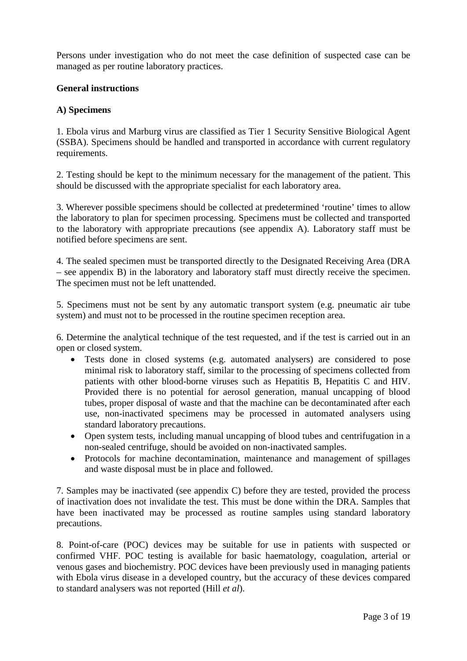Persons under investigation who do not meet the case definition of suspected case can be managed as per routine laboratory practices.

### <span id="page-2-0"></span>**General instructions**

### <span id="page-2-1"></span>**A) Specimens**

1. Ebola virus and Marburg virus are classified as Tier 1 Security Sensitive Biological Agent (SSBA). Specimens should be handled and transported in accordance with current regulatory requirements.

2. Testing should be kept to the minimum necessary for the management of the patient. This should be discussed with the appropriate specialist for each laboratory area.

3. Wherever possible specimens should be collected at predetermined 'routine' times to allow the laboratory to plan for specimen processing. Specimens must be collected and transported to the laboratory with appropriate precautions (see appendix A). Laboratory staff must be notified before specimens are sent.

4. The sealed specimen must be transported directly to the Designated Receiving Area (DRA – see appendix B) in the laboratory and laboratory staff must directly receive the specimen. The specimen must not be left unattended.

5. Specimens must not be sent by any automatic transport system (e.g. pneumatic air tube system) and must not to be processed in the routine specimen reception area.

6. Determine the analytical technique of the test requested, and if the test is carried out in an open or closed system.

- Tests done in closed systems (e.g. automated analysers) are considered to pose minimal risk to laboratory staff, similar to the processing of specimens collected from patients with other blood-borne viruses such as Hepatitis B, Hepatitis C and HIV. Provided there is no potential for aerosol generation, manual uncapping of blood tubes, proper disposal of waste and that the machine can be decontaminated after each use, non-inactivated specimens may be processed in automated analysers using standard laboratory precautions.
- Open system tests, including manual uncapping of blood tubes and centrifugation in a non-sealed centrifuge, should be avoided on non-inactivated samples.
- Protocols for machine decontamination, maintenance and management of spillages and waste disposal must be in place and followed.

7. Samples may be inactivated (see appendix C) before they are tested, provided the process of inactivation does not invalidate the test. This must be done within the DRA. Samples that have been inactivated may be processed as routine samples using standard laboratory precautions.

8. Point-of-care (POC) devices may be suitable for use in patients with suspected or confirmed VHF. POC testing is available for basic haematology, coagulation, arterial or venous gases and biochemistry. POC devices have been previously used in managing patients with Ebola virus disease in a developed country, but the accuracy of these devices compared to standard analysers was not reported (Hill *et al*).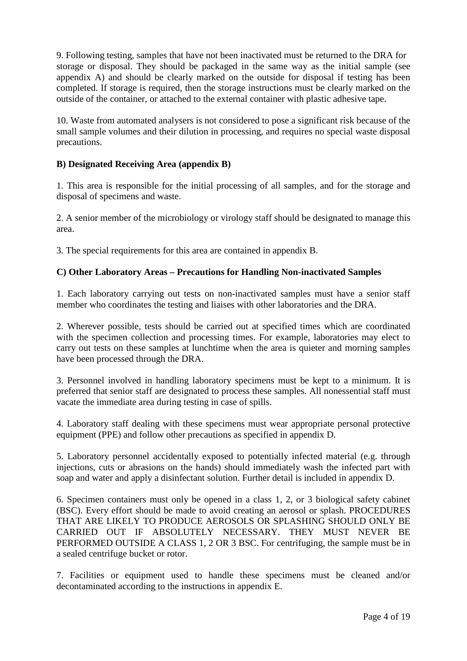9. Following testing, samples that have not been inactivated must be returned to the DRA for storage or disposal. They should be packaged in the same way as the initial sample (see appendix A) and should be clearly marked on the outside for disposal if testing has been completed. If storage is required, then the storage instructions must be clearly marked on the outside of the container, or attached to the external container with plastic adhesive tape.

10. Waste from automated analysers is not considered to pose a significant risk because of the small sample volumes and their dilution in processing, and requires no special waste disposal precautions.

### <span id="page-3-0"></span>**B) Designated Receiving Area (appendix B)**

1. This area is responsible for the initial processing of all samples, and for the storage and disposal of specimens and waste.

2. A senior member of the microbiology or virology staff should be designated to manage this area.

3. The special requirements for this area are contained in appendix B.

### <span id="page-3-1"></span>**C) Other Laboratory Areas – Precautions for Handling Non-inactivated Samples**

1. Each laboratory carrying out tests on non-inactivated samples must have a senior staff member who coordinates the testing and liaises with other laboratories and the DRA.

2. Wherever possible, tests should be carried out at specified times which are coordinated with the specimen collection and processing times. For example, laboratories may elect to carry out tests on these samples at lunchtime when the area is quieter and morning samples have been processed through the DRA.

3. Personnel involved in handling laboratory specimens must be kept to a minimum. It is preferred that senior staff are designated to process these samples. All nonessential staff must vacate the immediate area during testing in case of spills.

4. Laboratory staff dealing with these specimens must wear appropriate personal protective equipment (PPE) and follow other precautions as specified in appendix D.

5. Laboratory personnel accidentally exposed to potentially infected material (e.g. through injections, cuts or abrasions on the hands) should immediately wash the infected part with soap and water and apply a disinfectant solution. Further detail is included in appendix D.

6. Specimen containers must only be opened in a class 1, 2, or 3 biological safety cabinet (BSC). Every effort should be made to avoid creating an aerosol or splash. PROCEDURES THAT ARE LIKELY TO PRODUCE AEROSOLS OR SPLASHING SHOULD ONLY BE CARRIED OUT IF ABSOLUTELY NECESSARY. THEY MUST NEVER BE PERFORMED OUTSIDE A CLASS 1, 2 OR 3 BSC. For centrifuging, the sample must be in a sealed centrifuge bucket or rotor.

7. Facilities or equipment used to handle these specimens must be cleaned and/or decontaminated according to the instructions in appendix E.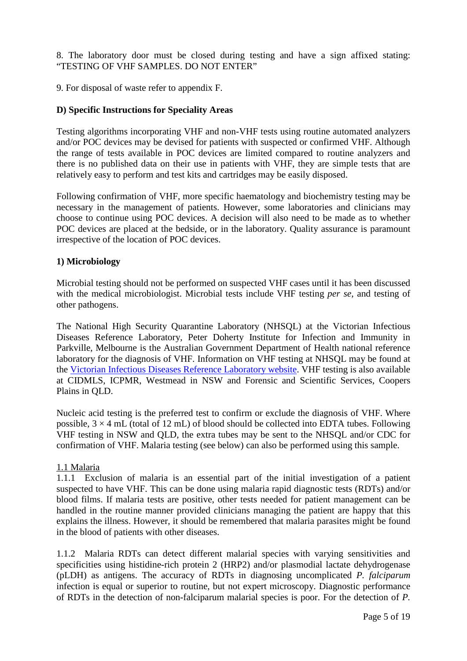8. The laboratory door must be closed during testing and have a sign affixed stating: "TESTING OF VHF SAMPLES. DO NOT ENTER"

9. For disposal of waste refer to appendix F.

### <span id="page-4-0"></span>**D) Specific Instructions for Speciality Areas**

Testing algorithms incorporating VHF and non-VHF tests using routine automated analyzers and/or POC devices may be devised for patients with suspected or confirmed VHF. Although the range of tests available in POC devices are limited compared to routine analyzers and there is no published data on their use in patients with VHF, they are simple tests that are relatively easy to perform and test kits and cartridges may be easily disposed.

Following confirmation of VHF, more specific haematology and biochemistry testing may be necessary in the management of patients. However, some laboratories and clinicians may choose to continue using POC devices. A decision will also need to be made as to whether POC devices are placed at the bedside, or in the laboratory. Quality assurance is paramount irrespective of the location of POC devices.

### <span id="page-4-1"></span>**1) Microbiology**

Microbial testing should not be performed on suspected VHF cases until it has been discussed with the medical microbiologist. Microbial tests include VHF testing *per se*, and testing of other pathogens.

The National High Security Quarantine Laboratory (NHSQL) at the Victorian Infectious Diseases Reference Laboratory, Peter Doherty Institute for Infection and Immunity in Parkville, Melbourne is the Australian Government Department of Health national reference laboratory for the diagnosis of VHF. Information on VHF testing at NHSQL may be found at the [Victorian Infectious Diseases Reference Laboratory website.](http://www.vidrl.org.au/) VHF testing is also available at CIDMLS, ICPMR, Westmead in NSW and Forensic and Scientific Services, Coopers Plains in QLD.

Nucleic acid testing is the preferred test to confirm or exclude the diagnosis of VHF. Where possible,  $3 \times 4$  mL (total of 12 mL) of blood should be collected into EDTA tubes. Following VHF testing in NSW and QLD, the extra tubes may be sent to the NHSQL and/or CDC for confirmation of VHF. Malaria testing (see below) can also be performed using this sample.

#### <span id="page-4-2"></span>1.1 Malaria

1.1.1 Exclusion of malaria is an essential part of the initial investigation of a patient suspected to have VHF. This can be done using malaria rapid diagnostic tests (RDTs) and/or blood films. If malaria tests are positive, other tests needed for patient management can be handled in the routine manner provided clinicians managing the patient are happy that this explains the illness. However, it should be remembered that malaria parasites might be found in the blood of patients with other diseases.

1.1.2 Malaria RDTs can detect different malarial species with varying sensitivities and specificities using histidine-rich protein 2 (HRP2) and/or plasmodial lactate dehydrogenase (pLDH) as antigens. The accuracy of RDTs in diagnosing uncomplicated *P. falciparum* infection is equal or superior to routine, but not expert microscopy. Diagnostic performance of RDTs in the detection of non-falciparum malarial species is poor. For the detection of *P.*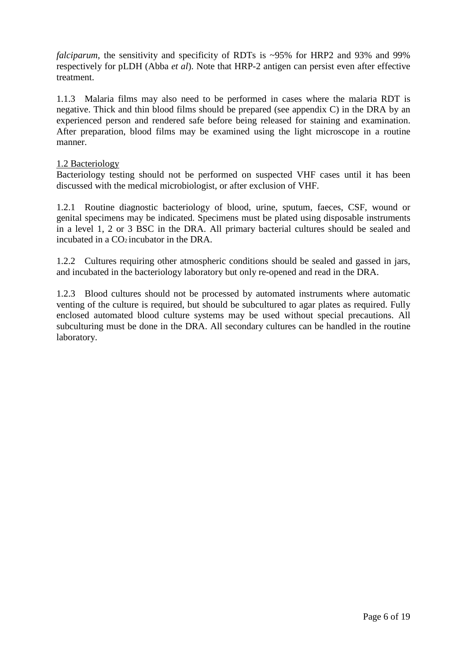*falciparum*, the sensitivity and specificity of RDTs is ~95% for HRP2 and 93% and 99% respectively for pLDH (Abba *et al*). Note that HRP-2 antigen can persist even after effective treatment.

1.1.3 Malaria films may also need to be performed in cases where the malaria RDT is negative. Thick and thin blood films should be prepared (see appendix C) in the DRA by an experienced person and rendered safe before being released for staining and examination. After preparation, blood films may be examined using the light microscope in a routine manner.

### <span id="page-5-0"></span>1.2 Bacteriology

Bacteriology testing should not be performed on suspected VHF cases until it has been discussed with the medical microbiologist, or after exclusion of VHF.

1.2.1 Routine diagnostic bacteriology of blood, urine, sputum, faeces, CSF, wound or genital specimens may be indicated. Specimens must be plated using disposable instruments in a level 1, 2 or 3 BSC in the DRA. All primary bacterial cultures should be sealed and incubated in a  $CO<sub>2</sub>$  incubator in the DRA.

1.2.2 Cultures requiring other atmospheric conditions should be sealed and gassed in jars, and incubated in the bacteriology laboratory but only re-opened and read in the DRA.

1.2.3 Blood cultures should not be processed by automated instruments where automatic venting of the culture is required, but should be subcultured to agar plates as required. Fully enclosed automated blood culture systems may be used without special precautions. All subculturing must be done in the DRA. All secondary cultures can be handled in the routine laboratory.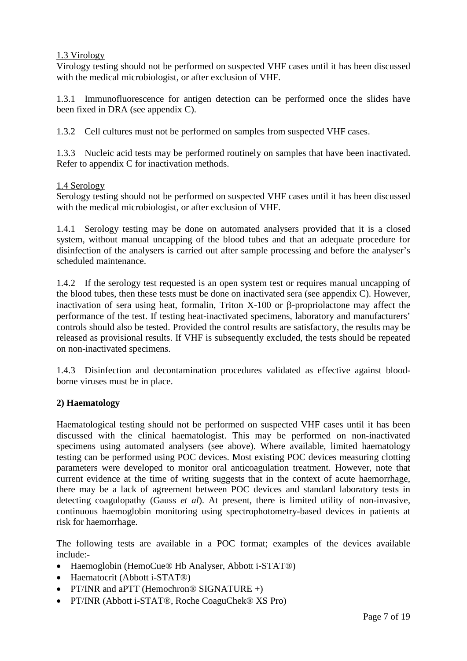# <span id="page-6-0"></span>1.3 Virology

Virology testing should not be performed on suspected VHF cases until it has been discussed with the medical microbiologist, or after exclusion of VHF.

1.3.1 Immunofluorescence for antigen detection can be performed once the slides have been fixed in DRA (see appendix C).

1.3.2 Cell cultures must not be performed on samples from suspected VHF cases.

1.3.3 Nucleic acid tests may be performed routinely on samples that have been inactivated. Refer to appendix C for inactivation methods.

#### <span id="page-6-1"></span>1.4 Serology

Serology testing should not be performed on suspected VHF cases until it has been discussed with the medical microbiologist, or after exclusion of VHF.

1.4.1 Serology testing may be done on automated analysers provided that it is a closed system, without manual uncapping of the blood tubes and that an adequate procedure for disinfection of the analysers is carried out after sample processing and before the analyser's scheduled maintenance.

1.4.2 If the serology test requested is an open system test or requires manual uncapping of the blood tubes, then these tests must be done on inactivated sera (see appendix C). However, inactivation of sera using heat, formalin, Triton X-100 or β-propriolactone may affect the performance of the test. If testing heat-inactivated specimens, laboratory and manufacturers' controls should also be tested. Provided the control results are satisfactory, the results may be released as provisional results. If VHF is subsequently excluded, the tests should be repeated on non-inactivated specimens.

1.4.3 Disinfection and decontamination procedures validated as effective against bloodborne viruses must be in place.

# <span id="page-6-2"></span>**2) Haematology**

Haematological testing should not be performed on suspected VHF cases until it has been discussed with the clinical haematologist. This may be performed on non-inactivated specimens using automated analysers (see above). Where available, limited haematology testing can be performed using POC devices. Most existing POC devices measuring clotting parameters were developed to monitor oral anticoagulation treatment. However, note that current evidence at the time of writing suggests that in the context of acute haemorrhage, there may be a lack of agreement between POC devices and standard laboratory tests in detecting coagulopathy (Gauss *et al*). At present, there is limited utility of non-invasive, continuous haemoglobin monitoring using spectrophotometry-based devices in patients at risk for haemorrhage.

The following tests are available in a POC format; examples of the devices available include:-

- Haemoglobin (HemoCue<sup>®</sup> Hb Analyser, Abbott i-STAT<sup>®</sup>)
- Haematocrit (Abbott i-STAT®)
- PT/INR and aPTT (Hemochron® SIGNATURE +)
- PT/INR (Abbott i-STAT®, Roche CoaguChek® XS Pro)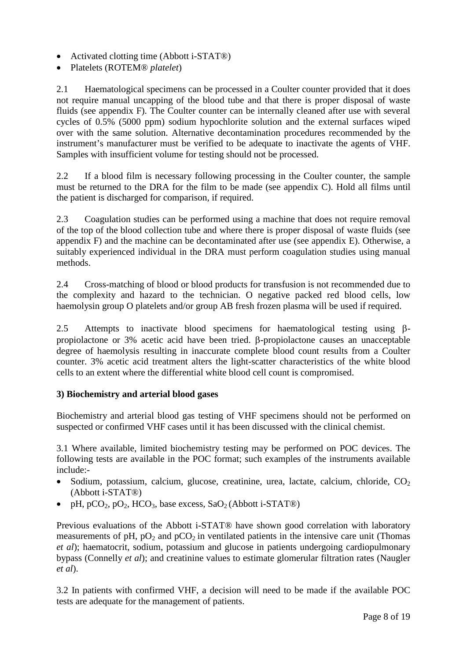- Activated clotting time (Abbott i-STAT<sup>®)</sup>
- Platelets (ROTEM® *platelet*)

2.1 Haematological specimens can be processed in a Coulter counter provided that it does not require manual uncapping of the blood tube and that there is proper disposal of waste fluids (see appendix F). The Coulter counter can be internally cleaned after use with several cycles of 0.5% (5000 ppm) sodium hypochlorite solution and the external surfaces wiped over with the same solution. Alternative decontamination procedures recommended by the instrument's manufacturer must be verified to be adequate to inactivate the agents of VHF. Samples with insufficient volume for testing should not be processed.

2.2 If a blood film is necessary following processing in the Coulter counter, the sample must be returned to the DRA for the film to be made (see appendix C). Hold all films until the patient is discharged for comparison, if required.

2.3 Coagulation studies can be performed using a machine that does not require removal of the top of the blood collection tube and where there is proper disposal of waste fluids (see appendix F) and the machine can be decontaminated after use (see appendix E). Otherwise, a suitably experienced individual in the DRA must perform coagulation studies using manual methods.

2.4 Cross-matching of blood or blood products for transfusion is not recommended due to the complexity and hazard to the technician. O negative packed red blood cells, low haemolysin group O platelets and/or group AB fresh frozen plasma will be used if required.

2.5 Attempts to inactivate blood specimens for haematological testing using βpropiolactone or 3% acetic acid have been tried. β-propiolactone causes an unacceptable degree of haemolysis resulting in inaccurate complete blood count results from a Coulter counter. 3% acetic acid treatment alters the light-scatter characteristics of the white blood cells to an extent where the differential white blood cell count is compromised.

# <span id="page-7-0"></span>**3) Biochemistry and arterial blood gases**

Biochemistry and arterial blood gas testing of VHF specimens should not be performed on suspected or confirmed VHF cases until it has been discussed with the clinical chemist.

3.1 Where available, limited biochemistry testing may be performed on POC devices. The following tests are available in the POC format; such examples of the instruments available include:-

- Sodium, potassium, calcium, glucose, creatinine, urea, lactate, calcium, chloride,  $CO<sub>2</sub>$ (Abbott i-STAT®)
- pH, pCO<sub>2</sub>, pO<sub>2</sub>, HCO<sub>3</sub>, base excess, SaO<sub>2</sub> (Abbott i-STAT<sup>®</sup>)

Previous evaluations of the Abbott i-STAT® have shown good correlation with laboratory measurements of pH,  $pO_2$  and  $pCO_2$  in ventilated patients in the intensive care unit (Thomas *et al*); haematocrit, sodium, potassium and glucose in patients undergoing cardiopulmonary bypass (Connelly *et al*); and creatinine values to estimate glomerular filtration rates (Naugler *et al*).

3.2 In patients with confirmed VHF, a decision will need to be made if the available POC tests are adequate for the management of patients.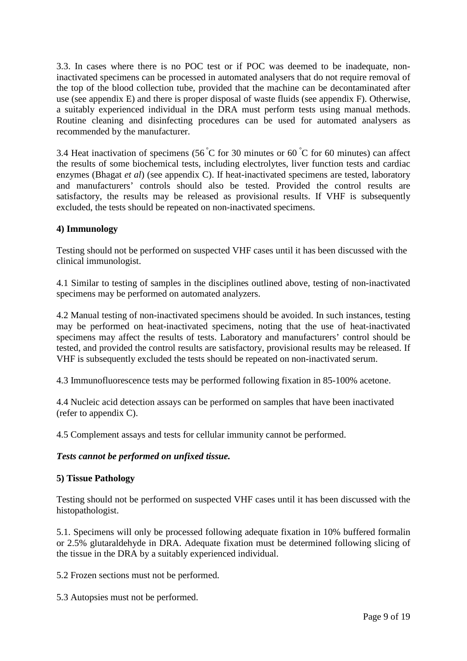3.3. In cases where there is no POC test or if POC was deemed to be inadequate, noninactivated specimens can be processed in automated analysers that do not require removal of the top of the blood collection tube, provided that the machine can be decontaminated after use (see appendix E) and there is proper disposal of waste fluids (see appendix F). Otherwise, a suitably experienced individual in the DRA must perform tests using manual methods. Routine cleaning and disinfecting procedures can be used for automated analysers as recommended by the manufacturer.

3.4 Heat inactivation of specimens (56 °C for 30 minutes or 60 °C for 60 minutes) can affect the results of some biochemical tests, including electrolytes, liver function tests and cardiac enzymes (Bhagat *et al*) (see appendix C). If heat-inactivated specimens are tested, laboratory and manufacturers' controls should also be tested. Provided the control results are satisfactory, the results may be released as provisional results. If VHF is subsequently excluded, the tests should be repeated on non-inactivated specimens.

# <span id="page-8-0"></span>**4) Immunology**

Testing should not be performed on suspected VHF cases until it has been discussed with the clinical immunologist.

4.1 Similar to testing of samples in the disciplines outlined above, testing of non-inactivated specimens may be performed on automated analyzers.

4.2 Manual testing of non-inactivated specimens should be avoided. In such instances, testing may be performed on heat-inactivated specimens, noting that the use of heat-inactivated specimens may affect the results of tests. Laboratory and manufacturers' control should be tested, and provided the control results are satisfactory, provisional results may be released. If VHF is subsequently excluded the tests should be repeated on non-inactivated serum.

4.3 Immunofluorescence tests may be performed following fixation in 85-100% acetone.

4.4 Nucleic acid detection assays can be performed on samples that have been inactivated (refer to appendix C).

4.5 Complement assays and tests for cellular immunity cannot be performed.

#### *Tests cannot be performed on unfixed tissue.*

#### <span id="page-8-1"></span>**5) Tissue Pathology**

Testing should not be performed on suspected VHF cases until it has been discussed with the histopathologist.

5.1. Specimens will only be processed following adequate fixation in 10% buffered formalin or 2.5% glutaraldehyde in DRA. Adequate fixation must be determined following slicing of the tissue in the DRA by a suitably experienced individual.

5.2 Frozen sections must not be performed.

5.3 Autopsies must not be performed.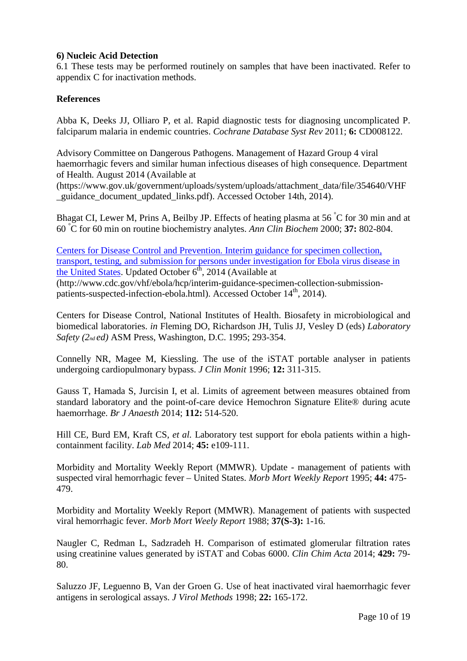### <span id="page-9-0"></span>**6) Nucleic Acid Detection**

6.1 These tests may be performed routinely on samples that have been inactivated. Refer to appendix C for inactivation methods.

## <span id="page-9-1"></span>**References**

Abba K, Deeks JJ, Olliaro P, et al. Rapid diagnostic tests for diagnosing uncomplicated P. falciparum malaria in endemic countries. *Cochrane Database Syst Rev* 2011; **6:** CD008122.

Advisory Committee on Dangerous Pathogens. Management of Hazard Group 4 viral haemorrhagic fevers and similar human infectious diseases of high consequence. Department of Health. August 2014 (Available at

(https://www.gov.uk/government/uploads/system/uploads/attachment\_data/file/354640/VHF \_guidance\_document\_updated\_links.pdf). Accessed October 14th, 2014).

Bhagat CI, Lewer M, Prins A, Beilby JP. Effects of heating plasma at 56 °C for 30 min and at 60 ° C for 60 min on routine biochemistry analytes. *Ann Clin Biochem* 2000; **37:** 802-804.

[Centers for Disease Control and Prevention. Interim guidance for specimen collection,](http://www.cdc.gov/vhf/ebola/hcp/interim-guidance-specimen-collection-submission-patients-suspected-infection-ebola.html)  [transport, testing, and submission for persons under investigation for Ebola virus disease in](http://www.cdc.gov/vhf/ebola/hcp/interim-guidance-specimen-collection-submission-patients-suspected-infection-ebola.html)  [the United States.](http://www.cdc.gov/vhf/ebola/hcp/interim-guidance-specimen-collection-submission-patients-suspected-infection-ebola.html) Updated October 6<sup>th</sup>, 2014 (Available at (http://www.cdc.gov/vhf/ebola/hcp/interim-guidance-specimen-collection-submissionpatients-suspected-infection-ebola.html). Accessed October 14<sup>th</sup>, 2014).

Centers for Disease Control, National Institutes of Health. Biosafety in microbiological and biomedical laboratories. *in* Fleming DO, Richardson JH, Tulis JJ, Vesley D (eds) *Laboratory Safety (2nd ed)* ASM Press, Washington, D.C. 1995; 293-354.

Connelly NR, Magee M, Kiessling. The use of the iSTAT portable analyser in patients undergoing cardiopulmonary bypass. *J Clin Monit* 1996; **12:** 311-315.

Gauss T, Hamada S, Jurcisin I, et al. Limits of agreement between measures obtained from standard laboratory and the point-of-care device Hemochron Signature Elite® during acute haemorrhage. *Br J Anaesth* 2014; **112:** 514-520.

Hill CE, Burd EM, Kraft CS, *et al.* Laboratory test support for ebola patients within a highcontainment facility. *Lab Med* 2014; **45:** e109-111.

Morbidity and Mortality Weekly Report (MMWR). Update - management of patients with suspected viral hemorrhagic fever – United States. *Morb Mort Weekly Report* 1995; **44:** 475- 479.

Morbidity and Mortality Weekly Report (MMWR). Management of patients with suspected viral hemorrhagic fever. *Morb Mort Weely Report* 1988; **37(S-3):** 1-16.

Naugler C, Redman L, Sadzradeh H. Comparison of estimated glomerular filtration rates using creatinine values generated by iSTAT and Cobas 6000. *Clin Chim Acta* 2014; **429:** 79- 80.

Saluzzo JF, Leguenno B, Van der Groen G. Use of heat inactivated viral haemorrhagic fever antigens in serological assays. *J Virol Methods* 1998; **22:** 165-172.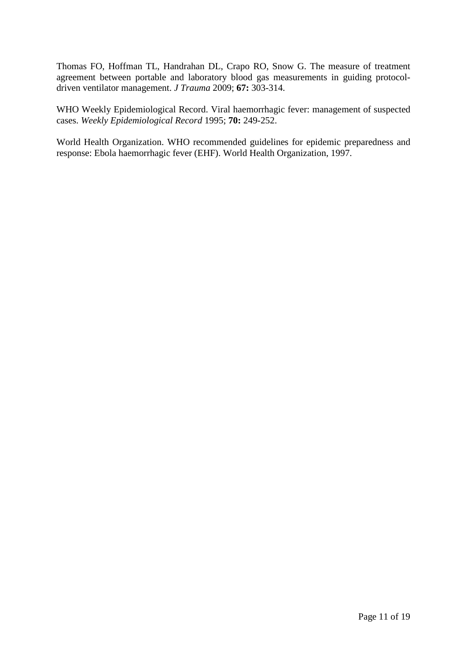Thomas FO, Hoffman TL, Handrahan DL, Crapo RO, Snow G. The measure of treatment agreement between portable and laboratory blood gas measurements in guiding protocoldriven ventilator management. *J Trauma* 2009; **67:** 303-314.

WHO Weekly Epidemiological Record. Viral haemorrhagic fever: management of suspected cases. *Weekly Epidemiological Record* 1995; **70:** 249-252.

World Health Organization. WHO recommended guidelines for epidemic preparedness and response: Ebola haemorrhagic fever (EHF). World Health Organization, 1997.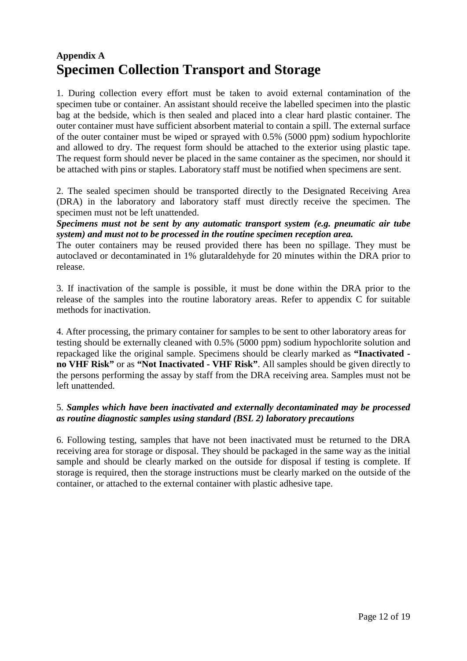# <span id="page-11-1"></span><span id="page-11-0"></span>**Appendix A Specimen Collection Transport and Storage**

1. During collection every effort must be taken to avoid external contamination of the specimen tube or container. An assistant should receive the labelled specimen into the plastic bag at the bedside, which is then sealed and placed into a clear hard plastic container. The outer container must have sufficient absorbent material to contain a spill. The external surface of the outer container must be wiped or sprayed with 0.5% (5000 ppm) sodium hypochlorite and allowed to dry. The request form should be attached to the exterior using plastic tape. The request form should never be placed in the same container as the specimen, nor should it be attached with pins or staples. Laboratory staff must be notified when specimens are sent.

2. The sealed specimen should be transported directly to the Designated Receiving Area (DRA) in the laboratory and laboratory staff must directly receive the specimen. The specimen must not be left unattended.

*Specimens must not be sent by any automatic transport system (e.g. pneumatic air tube system) and must not to be processed in the routine specimen reception area.*

The outer containers may be reused provided there has been no spillage. They must be autoclaved or decontaminated in 1% glutaraldehyde for 20 minutes within the DRA prior to release.

3. If inactivation of the sample is possible, it must be done within the DRA prior to the release of the samples into the routine laboratory areas. Refer to appendix C for suitable methods for inactivation.

4. After processing, the primary container for samples to be sent to other laboratory areas for testing should be externally cleaned with 0.5% (5000 ppm) sodium hypochlorite solution and repackaged like the original sample. Specimens should be clearly marked as **"Inactivated no VHF Risk"** or as **"Not Inactivated - VHF Risk"**. All samples should be given directly to the persons performing the assay by staff from the DRA receiving area. Samples must not be left unattended.

# 5. *Samples which have been inactivated and externally decontaminated may be processed as routine diagnostic samples using standard (BSL 2) laboratory precautions*

6. Following testing, samples that have not been inactivated must be returned to the DRA receiving area for storage or disposal. They should be packaged in the same way as the initial sample and should be clearly marked on the outside for disposal if testing is complete. If storage is required, then the storage instructions must be clearly marked on the outside of the container, or attached to the external container with plastic adhesive tape.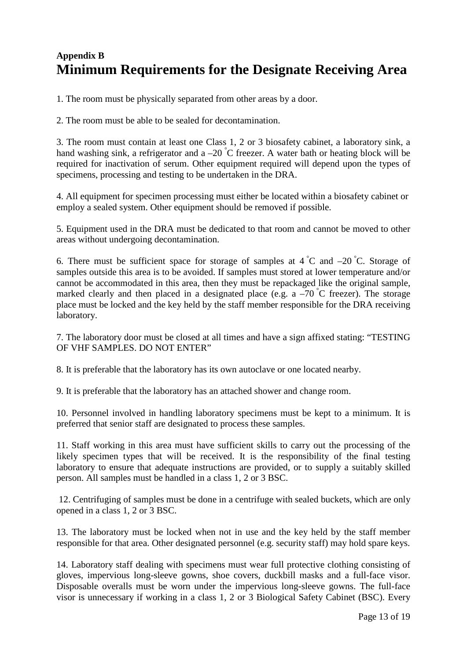# <span id="page-12-0"></span>**Appendix B Minimum Requirements for the Designate Receiving Area**

1. The room must be physically separated from other areas by a door.

2. The room must be able to be sealed for decontamination.

3. The room must contain at least one Class 1, 2 or 3 biosafety cabinet, a laboratory sink, a hand washing sink, a refrigerator and a  $-20$  °C freezer. A water bath or heating block will be required for inactivation of serum. Other equipment required will depend upon the types of specimens, processing and testing to be undertaken in the DRA.

4. All equipment for specimen processing must either be located within a biosafety cabinet or employ a sealed system. Other equipment should be removed if possible.

5. Equipment used in the DRA must be dedicated to that room and cannot be moved to other areas without undergoing decontamination.

6. There must be sufficient space for storage of samples at  $4\degree C$  and  $-20\degree C$ . Storage of samples outside this area is to be avoided. If samples must stored at lower temperature and/or cannot be accommodated in this area, then they must be repackaged like the original sample, marked clearly and then placed in a designated place (e.g. a -70 °C freezer). The storage place must be locked and the key held by the staff member responsible for the DRA receiving laboratory.

7. The laboratory door must be closed at all times and have a sign affixed stating: "TESTING OF VHF SAMPLES. DO NOT ENTER"

8. It is preferable that the laboratory has its own autoclave or one located nearby.

9. It is preferable that the laboratory has an attached shower and change room.

10. Personnel involved in handling laboratory specimens must be kept to a minimum. It is preferred that senior staff are designated to process these samples.

11. Staff working in this area must have sufficient skills to carry out the processing of the likely specimen types that will be received. It is the responsibility of the final testing laboratory to ensure that adequate instructions are provided, or to supply a suitably skilled person. All samples must be handled in a class 1, 2 or 3 BSC.

12. Centrifuging of samples must be done in a centrifuge with sealed buckets, which are only opened in a class 1, 2 or 3 BSC.

13. The laboratory must be locked when not in use and the key held by the staff member responsible for that area. Other designated personnel (e.g. security staff) may hold spare keys.

14. Laboratory staff dealing with specimens must wear full protective clothing consisting of gloves, impervious long-sleeve gowns, shoe covers, duckbill masks and a full-face visor. Disposable overalls must be worn under the impervious long-sleeve gowns. The full-face visor is unnecessary if working in a class 1, 2 or 3 Biological Safety Cabinet (BSC). Every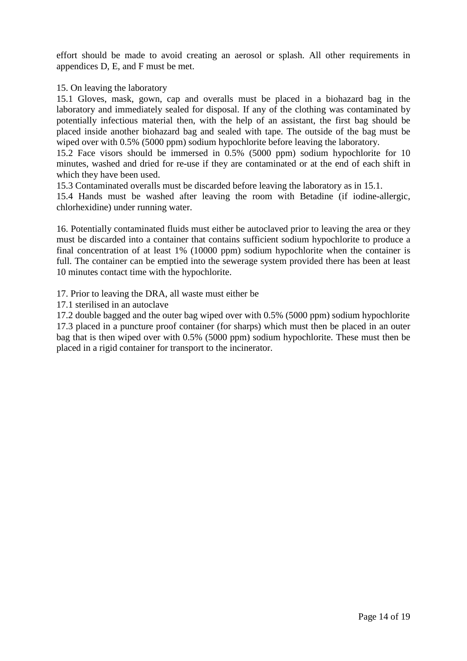effort should be made to avoid creating an aerosol or splash. All other requirements in appendices D, E, and F must be met.

#### 15. On leaving the laboratory

15.1 Gloves, mask, gown, cap and overalls must be placed in a biohazard bag in the laboratory and immediately sealed for disposal. If any of the clothing was contaminated by potentially infectious material then, with the help of an assistant, the first bag should be placed inside another biohazard bag and sealed with tape. The outside of the bag must be wiped over with 0.5% (5000 ppm) sodium hypochlorite before leaving the laboratory.

15.2 Face visors should be immersed in 0.5% (5000 ppm) sodium hypochlorite for 10 minutes, washed and dried for re-use if they are contaminated or at the end of each shift in which they have been used.

15.3 Contaminated overalls must be discarded before leaving the laboratory as in 15.1.

15.4 Hands must be washed after leaving the room with Betadine (if iodine-allergic, chlorhexidine) under running water.

16. Potentially contaminated fluids must either be autoclaved prior to leaving the area or they must be discarded into a container that contains sufficient sodium hypochlorite to produce a final concentration of at least 1% (10000 ppm) sodium hypochlorite when the container is full. The container can be emptied into the sewerage system provided there has been at least 10 minutes contact time with the hypochlorite.

17. Prior to leaving the DRA, all waste must either be

17.1 sterilised in an autoclave

17.2 double bagged and the outer bag wiped over with 0.5% (5000 ppm) sodium hypochlorite 17.3 placed in a puncture proof container (for sharps) which must then be placed in an outer bag that is then wiped over with 0.5% (5000 ppm) sodium hypochlorite. These must then be placed in a rigid container for transport to the incinerator.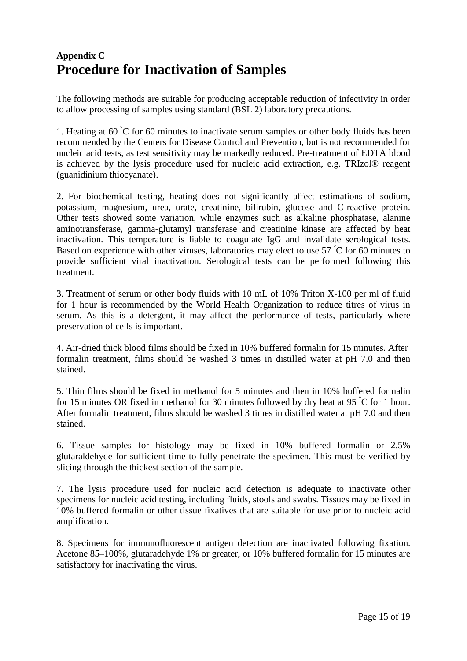# <span id="page-14-0"></span>**Appendix C Procedure for Inactivation of Samples**

The following methods are suitable for producing acceptable reduction of infectivity in order to allow processing of samples using standard (BSL 2) laboratory precautions.

1. Heating at  $60^{\degree}$ C for  $60$  minutes to inactivate serum samples or other body fluids has been recommended by the Centers for Disease Control and Prevention, but is not recommended for nucleic acid tests, as test sensitivity may be markedly reduced. Pre-treatment of EDTA blood is achieved by the lysis procedure used for nucleic acid extraction, e.g. TRIzol® reagent (guanidinium thiocyanate).

2. For biochemical testing, heating does not significantly affect estimations of sodium, potassium, magnesium, urea, urate, creatinine, bilirubin, glucose and C-reactive protein. Other tests showed some variation, while enzymes such as alkaline phosphatase, alanine aminotransferase, gamma-glutamyl transferase and creatinine kinase are affected by heat inactivation. This temperature is liable to coagulate IgG and invalidate serological tests. Based on experience with other viruses, laboratories may elect to use 57 °C for 60 minutes to provide sufficient viral inactivation. Serological tests can be performed following this treatment.

3. Treatment of serum or other body fluids with 10 mL of 10% Triton X-100 per ml of fluid for 1 hour is recommended by the World Health Organization to reduce titres of virus in serum. As this is a detergent, it may affect the performance of tests, particularly where preservation of cells is important.

4. Air-dried thick blood films should be fixed in 10% buffered formalin for 15 minutes. After formalin treatment, films should be washed 3 times in distilled water at pH 7.0 and then stained.

5. Thin films should be fixed in methanol for 5 minutes and then in 10% buffered formalin for 15 minutes OR fixed in methanol for 30 minutes followed by dry heat at 95 °C for 1 hour. After formalin treatment, films should be washed 3 times in distilled water at pH 7.0 and then stained.

6. Tissue samples for histology may be fixed in 10% buffered formalin or 2.5% glutaraldehyde for sufficient time to fully penetrate the specimen. This must be verified by slicing through the thickest section of the sample.

7. The lysis procedure used for nucleic acid detection is adequate to inactivate other specimens for nucleic acid testing, including fluids, stools and swabs. Tissues may be fixed in 10% buffered formalin or other tissue fixatives that are suitable for use prior to nucleic acid amplification.

8. Specimens for immunofluorescent antigen detection are inactivated following fixation. Acetone 85–100%, glutaradehyde 1% or greater, or 10% buffered formalin for 15 minutes are satisfactory for inactivating the virus.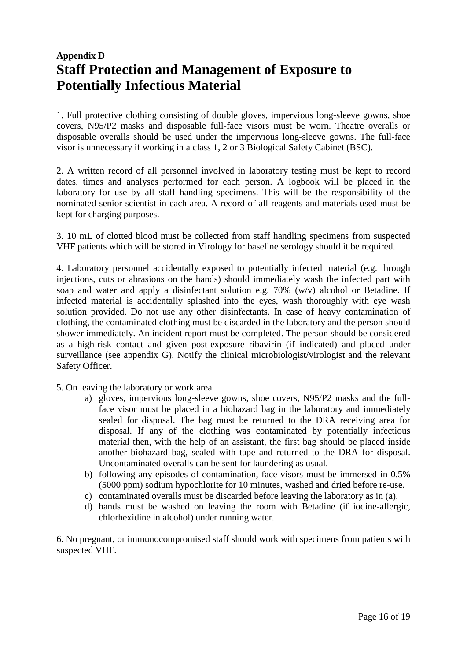# <span id="page-15-1"></span><span id="page-15-0"></span>**Appendix D Staff Protection and Management of Exposure to Potentially Infectious Material**

1. Full protective clothing consisting of double gloves, impervious long-sleeve gowns, shoe covers, N95/P2 masks and disposable full-face visors must be worn. Theatre overalls or disposable overalls should be used under the impervious long-sleeve gowns. The full-face visor is unnecessary if working in a class 1, 2 or 3 Biological Safety Cabinet (BSC).

2. A written record of all personnel involved in laboratory testing must be kept to record dates, times and analyses performed for each person. A logbook will be placed in the laboratory for use by all staff handling specimens. This will be the responsibility of the nominated senior scientist in each area. A record of all reagents and materials used must be kept for charging purposes.

3. 10 mL of clotted blood must be collected from staff handling specimens from suspected VHF patients which will be stored in Virology for baseline serology should it be required.

4. Laboratory personnel accidentally exposed to potentially infected material (e.g. through injections, cuts or abrasions on the hands) should immediately wash the infected part with soap and water and apply a disinfectant solution e.g. 70% (w/v) alcohol or Betadine. If infected material is accidentally splashed into the eyes, wash thoroughly with eye wash solution provided. Do not use any other disinfectants. In case of heavy contamination of clothing, the contaminated clothing must be discarded in the laboratory and the person should shower immediately. An incident report must be completed. The person should be considered as a high-risk contact and given post-exposure ribavirin (if indicated) and placed under surveillance (see appendix G). Notify the clinical microbiologist/virologist and the relevant Safety Officer.

5. On leaving the laboratory or work area

- a) gloves, impervious long-sleeve gowns, shoe covers, N95/P2 masks and the fullface visor must be placed in a biohazard bag in the laboratory and immediately sealed for disposal. The bag must be returned to the DRA receiving area for disposal. If any of the clothing was contaminated by potentially infectious material then, with the help of an assistant, the first bag should be placed inside another biohazard bag, sealed with tape and returned to the DRA for disposal. Uncontaminated overalls can be sent for laundering as usual.
- b) following any episodes of contamination, face visors must be immersed in 0.5% (5000 ppm) sodium hypochlorite for 10 minutes, washed and dried before re-use.
- c) contaminated overalls must be discarded before leaving the laboratory as in (a).
- d) hands must be washed on leaving the room with Betadine (if iodine-allergic, chlorhexidine in alcohol) under running water.

6. No pregnant, or immunocompromised staff should work with specimens from patients with suspected VHF.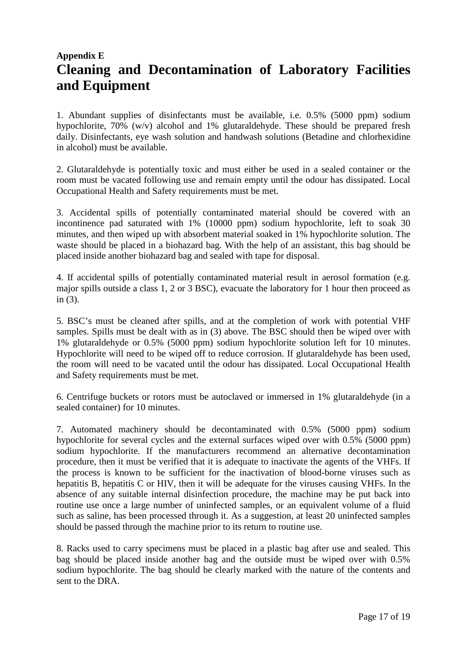# <span id="page-16-0"></span>**Appendix E Cleaning and Decontamination of Laboratory Facilities and Equipment**

1. Abundant supplies of disinfectants must be available, i.e. 0.5% (5000 ppm) sodium hypochlorite, 70% (w/v) alcohol and 1% glutaraldehyde. These should be prepared fresh daily. Disinfectants, eye wash solution and handwash solutions (Betadine and chlorhexidine in alcohol) must be available.

2. Glutaraldehyde is potentially toxic and must either be used in a sealed container or the room must be vacated following use and remain empty until the odour has dissipated. Local Occupational Health and Safety requirements must be met.

3. Accidental spills of potentially contaminated material should be covered with an incontinence pad saturated with 1% (10000 ppm) sodium hypochlorite, left to soak 30 minutes, and then wiped up with absorbent material soaked in 1% hypochlorite solution. The waste should be placed in a biohazard bag. With the help of an assistant, this bag should be placed inside another biohazard bag and sealed with tape for disposal.

4. If accidental spills of potentially contaminated material result in aerosol formation (e.g. major spills outside a class 1, 2 or 3 BSC), evacuate the laboratory for 1 hour then proceed as in (3).

5. BSC's must be cleaned after spills, and at the completion of work with potential VHF samples. Spills must be dealt with as in (3) above. The BSC should then be wiped over with 1% glutaraldehyde or 0.5% (5000 ppm) sodium hypochlorite solution left for 10 minutes. Hypochlorite will need to be wiped off to reduce corrosion. If glutaraldehyde has been used, the room will need to be vacated until the odour has dissipated. Local Occupational Health and Safety requirements must be met.

6. Centrifuge buckets or rotors must be autoclaved or immersed in 1% glutaraldehyde (in a sealed container) for 10 minutes.

7. Automated machinery should be decontaminated with 0.5% (5000 ppm) sodium hypochlorite for several cycles and the external surfaces wiped over with 0.5% (5000 ppm) sodium hypochlorite. If the manufacturers recommend an alternative decontamination procedure, then it must be verified that it is adequate to inactivate the agents of the VHFs. If the process is known to be sufficient for the inactivation of blood-borne viruses such as hepatitis B, hepatitis C or HIV, then it will be adequate for the viruses causing VHFs. In the absence of any suitable internal disinfection procedure, the machine may be put back into routine use once a large number of uninfected samples, or an equivalent volume of a fluid such as saline, has been processed through it. As a suggestion, at least 20 uninfected samples should be passed through the machine prior to its return to routine use.

8. Racks used to carry specimens must be placed in a plastic bag after use and sealed. This bag should be placed inside another bag and the outside must be wiped over with 0.5% sodium hypochlorite. The bag should be clearly marked with the nature of the contents and sent to the DRA.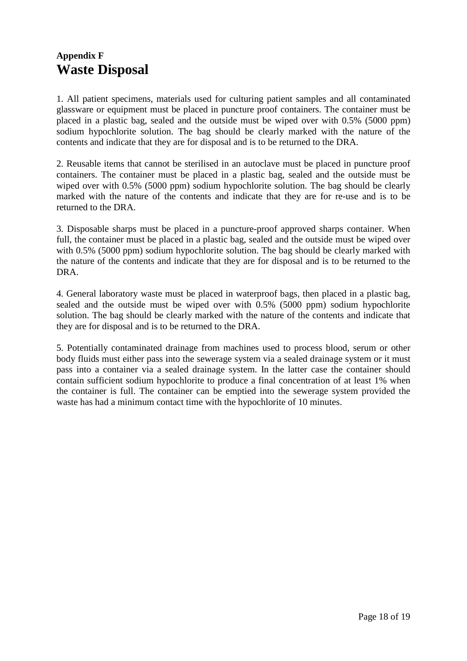# <span id="page-17-0"></span>**Appendix F Waste Disposal**

1. All patient specimens, materials used for culturing patient samples and all contaminated glassware or equipment must be placed in puncture proof containers. The container must be placed in a plastic bag, sealed and the outside must be wiped over with 0.5% (5000 ppm) sodium hypochlorite solution. The bag should be clearly marked with the nature of the contents and indicate that they are for disposal and is to be returned to the DRA.

2. Reusable items that cannot be sterilised in an autoclave must be placed in puncture proof containers. The container must be placed in a plastic bag, sealed and the outside must be wiped over with 0.5% (5000 ppm) sodium hypochlorite solution. The bag should be clearly marked with the nature of the contents and indicate that they are for re-use and is to be returned to the DRA.

3. Disposable sharps must be placed in a puncture-proof approved sharps container. When full, the container must be placed in a plastic bag, sealed and the outside must be wiped over with 0.5% (5000 ppm) sodium hypochlorite solution. The bag should be clearly marked with the nature of the contents and indicate that they are for disposal and is to be returned to the DRA.

4. General laboratory waste must be placed in waterproof bags, then placed in a plastic bag, sealed and the outside must be wiped over with 0.5% (5000 ppm) sodium hypochlorite solution. The bag should be clearly marked with the nature of the contents and indicate that they are for disposal and is to be returned to the DRA.

5. Potentially contaminated drainage from machines used to process blood, serum or other body fluids must either pass into the sewerage system via a sealed drainage system or it must pass into a container via a sealed drainage system. In the latter case the container should contain sufficient sodium hypochlorite to produce a final concentration of at least 1% when the container is full. The container can be emptied into the sewerage system provided the waste has had a minimum contact time with the hypochlorite of 10 minutes.